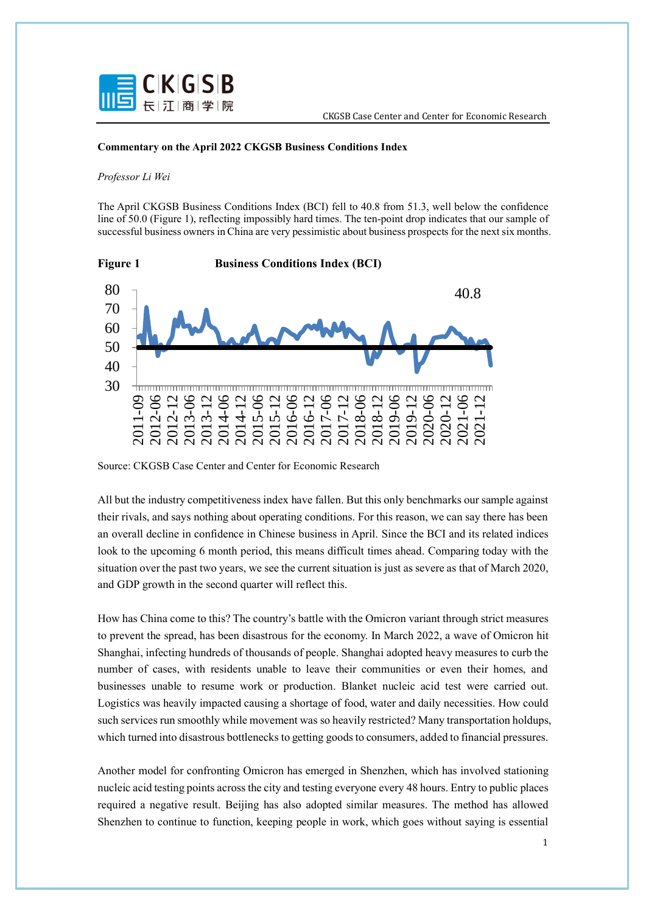

## **Commentary on the April 2022 CKGSB Business Conditions Index**

## *Professor Li Wei*

The April CKGSB Business Conditions Index (BCI) fell to 40.8 from 51.3, well below the confidence line of 50.0 (Figure 1), reflecting impossibly hard times. The ten-point drop indicates that our sample of successful business owners in China are very pessimistic about business prospects for the next six months.



Source: CKGSB Case Center and Center for Economic Research

All but the industry competitiveness index have fallen. But this only benchmarks our sample against their rivals, and says nothing about operating conditions. For this reason, we can say there has been an overall decline in confidence in Chinese business in April. Since the BCI and its related indices look to the upcoming 6 month period, this means difficult times ahead. Comparing today with the situation over the past two years, we see the current situation is just as severe as that of March 2020, and GDP growth in the second quarter will reflect this.

How has China come to this? The country's battle with the Omicron variant through strict measures to prevent the spread, has been disastrous for the economy. In March 2022, a wave of Omicron hit Shanghai, infecting hundreds of thousands of people. Shanghai adopted heavy measures to curb the number of cases, with residents unable to leave their communities or even their homes, and businesses unable to resume work or production. Blanket nucleic acid test were carried out. Logistics was heavily impacted causing a shortage of food, water and daily necessities. How could such services run smoothly while movement was so heavily restricted? Many transportation holdups, which turned into disastrous bottlenecks to getting goods to consumers, added to financial pressures.

Another model for confronting Omicron has emerged in Shenzhen, which has involved stationing nucleic acid testing points across the city and testing everyone every 48 hours. Entry to public places required a negative result. Beijing has also adopted similar measures. The method has allowed Shenzhen to continue to function, keeping people in work, which goes without saying is essential